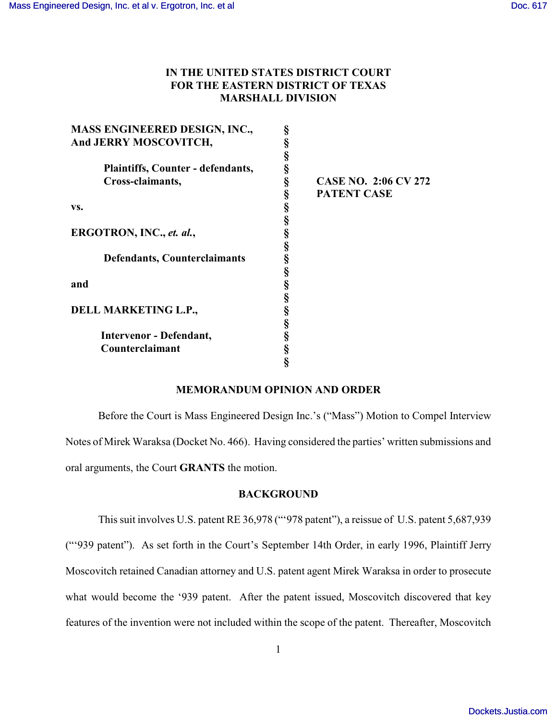# **IN THE UNITED STATES DISTRICT COURT FOR THE EASTERN DISTRICT OF TEXAS MARSHALL DIVISION**

| <b>CASE NO. 2:06 CV 272</b><br><b>PATENT CASE</b> |  |
|---------------------------------------------------|--|
|                                                   |  |

## **MEMORANDUM OPINION AND ORDER**

Before the Court is Mass Engineered Design Inc.'s ("Mass") Motion to Compel Interview Notes of Mirek Waraksa (Docket No. 466). Having considered the parties' written submissions and oral arguments, the Court **GRANTS** the motion.

#### **BACKGROUND**

This suit involves U.S. patent RE 36,978 ("'978 patent"), a reissue of U.S. patent 5,687,939 ("'939 patent"). As set forth in the Court's September 14th Order, in early 1996, Plaintiff Jerry Moscovitch retained Canadian attorney and U.S. patent agent Mirek Waraksa in order to prosecute what would become the '939 patent. After the patent issued, Moscovitch discovered that key features of the invention were not included within the scope of the patent. Thereafter, Moscovitch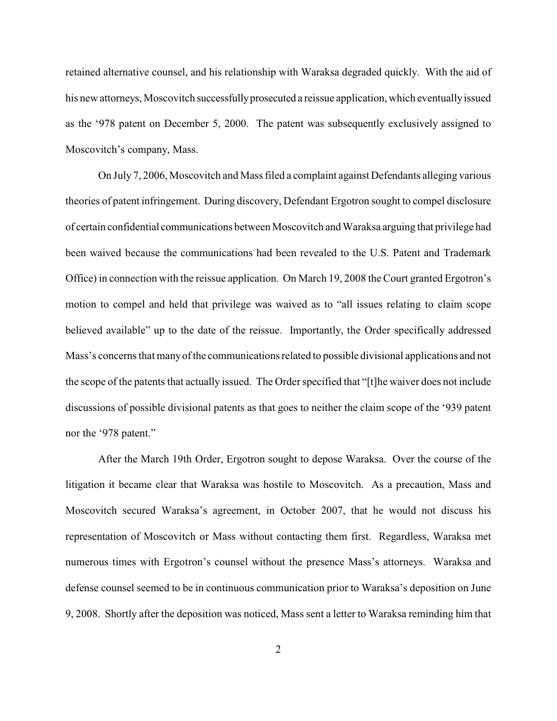retained alternative counsel, and his relationship with Waraksa degraded quickly. With the aid of his new attorneys, Moscovitch successfully prosecuted a reissue application, which eventually issued as the '978 patent on December 5, 2000. The patent was subsequently exclusively assigned to Moscovitch's company, Mass.

On July 7, 2006, Moscovitch and Mass filed a complaint against Defendants alleging various theories of patent infringement. During discovery, Defendant Ergotron sought to compel disclosure of certain confidential communications between Moscovitch and Waraksa arguing that privilege had been waived because the communications had been revealed to the U.S. Patent and Trademark Office) in connection with the reissue application. On March 19, 2008 the Court granted Ergotron's motion to compel and held that privilege was waived as to "all issues relating to claim scope believed available" up to the date of the reissue. Importantly, the Order specifically addressed Mass's concerns that manyof the communications related to possible divisional applications and not the scope of the patents that actually issued. The Order specified that "[t]he waiver does not include discussions of possible divisional patents as that goes to neither the claim scope of the '939 patent nor the '978 patent."

After the March 19th Order, Ergotron sought to depose Waraksa. Over the course of the litigation it became clear that Waraksa was hostile to Moscovitch. As a precaution, Mass and Moscovitch secured Waraksa's agreement, in October 2007, that he would not discuss his representation of Moscovitch or Mass without contacting them first. Regardless, Waraksa met numerous times with Ergotron's counsel without the presence Mass's attorneys. Waraksa and defense counsel seemed to be in continuous communication prior to Waraksa's deposition on June 9, 2008. Shortly after the deposition was noticed, Mass sent a letter to Waraksa reminding him that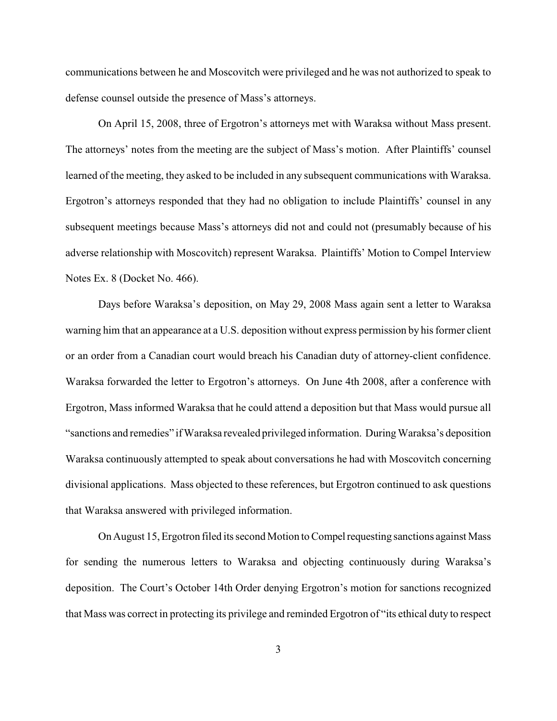communications between he and Moscovitch were privileged and he was not authorized to speak to defense counsel outside the presence of Mass's attorneys.

On April 15, 2008, three of Ergotron's attorneys met with Waraksa without Mass present. The attorneys' notes from the meeting are the subject of Mass's motion. After Plaintiffs' counsel learned of the meeting, they asked to be included in any subsequent communications with Waraksa. Ergotron's attorneys responded that they had no obligation to include Plaintiffs' counsel in any subsequent meetings because Mass's attorneys did not and could not (presumably because of his adverse relationship with Moscovitch) represent Waraksa. Plaintiffs' Motion to Compel Interview Notes Ex. 8 (Docket No. 466).

Days before Waraksa's deposition, on May 29, 2008 Mass again sent a letter to Waraksa warning him that an appearance at a U.S. deposition without express permission by his former client or an order from a Canadian court would breach his Canadian duty of attorney-client confidence. Waraksa forwarded the letter to Ergotron's attorneys. On June 4th 2008, after a conference with Ergotron, Mass informed Waraksa that he could attend a deposition but that Mass would pursue all "sanctions and remedies" if Waraksa revealed privileged information. During Waraksa's deposition Waraksa continuously attempted to speak about conversations he had with Moscovitch concerning divisional applications. Mass objected to these references, but Ergotron continued to ask questions that Waraksa answered with privileged information.

On August 15, Ergotron filed its second Motion to Compel requesting sanctions against Mass for sending the numerous letters to Waraksa and objecting continuously during Waraksa's deposition. The Court's October 14th Order denying Ergotron's motion for sanctions recognized that Mass was correct in protecting its privilege and reminded Ergotron of "its ethical duty to respect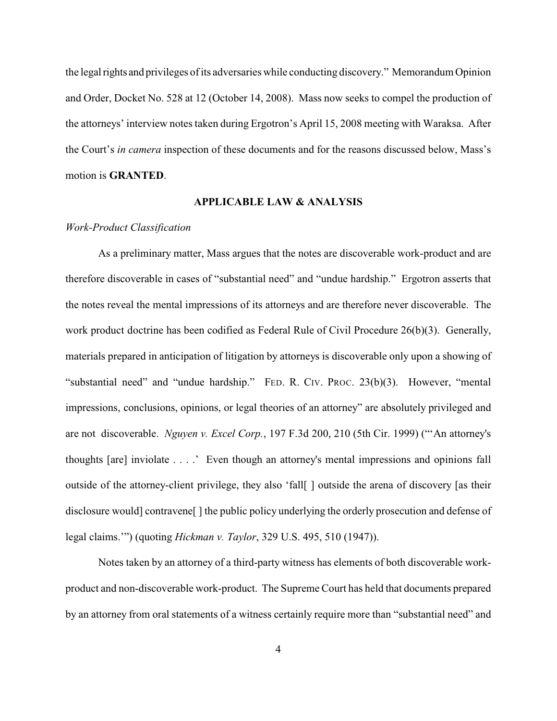the legal rights and privileges of its adversaries while conducting discovery." Memorandum Opinion and Order, Docket No. 528 at 12 (October 14, 2008). Mass now seeks to compel the production of the attorneys' interview notes taken during Ergotron's April 15, 2008 meeting with Waraksa. After the Court's *in camera* inspection of these documents and for the reasons discussed below, Mass's motion is **GRANTED**.

## **APPLICABLE LAW & ANALYSIS**

## *Work-Product Classification*

As a preliminary matter, Mass argues that the notes are discoverable work-product and are therefore discoverable in cases of "substantial need" and "undue hardship." Ergotron asserts that the notes reveal the mental impressions of its attorneys and are therefore never discoverable. The work product doctrine has been codified as Federal Rule of Civil Procedure 26(b)(3). Generally, materials prepared in anticipation of litigation by attorneys is discoverable only upon a showing of "substantial need" and "undue hardship." FED. R. CIV. PROC. 23(b)(3). However, "mental impressions, conclusions, opinions, or legal theories of an attorney" are absolutely privileged and are not discoverable. *Nguyen v. Excel Corp.*, 197 F.3d 200, 210 (5th Cir. 1999) ("'An attorney's thoughts [are] inviolate . . . .' Even though an attorney's mental impressions and opinions fall outside of the attorney-client privilege, they also 'fall[ ] outside the arena of discovery [as their disclosure would] contravene[ ] the public policy underlying the orderly prosecution and defense of legal claims.'") (quoting *Hickman v. Taylor*, 329 U.S. 495, 510 (1947)).

Notes taken by an attorney of a third-party witness has elements of both discoverable workproduct and non-discoverable work-product. The Supreme Court has held that documents prepared by an attorney from oral statements of a witness certainly require more than "substantial need" and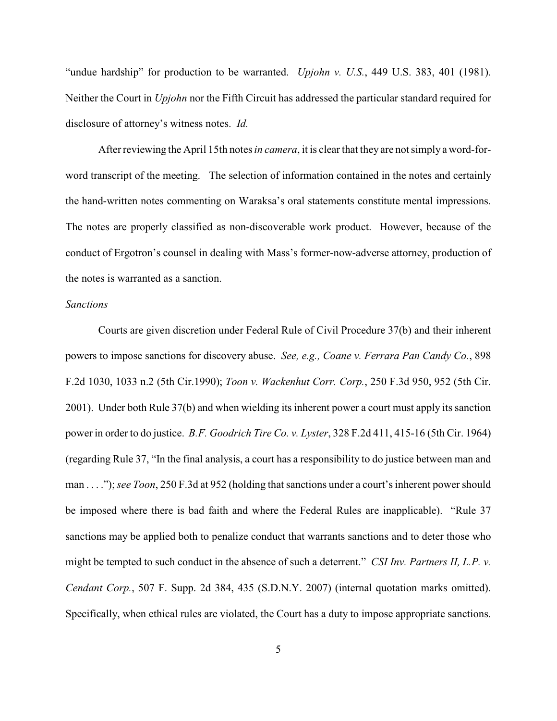"undue hardship" for production to be warranted. *Upjohn v. U.S.*, 449 U.S. 383, 401 (1981). Neither the Court in *Upjohn* nor the Fifth Circuit has addressed the particular standard required for disclosure of attorney's witness notes. *Id.*

Afterreviewing the April 15th notes *in camera*, it is clear that they are not simply a word-forword transcript of the meeting. The selection of information contained in the notes and certainly the hand-written notes commenting on Waraksa's oral statements constitute mental impressions. The notes are properly classified as non-discoverable work product. However, because of the conduct of Ergotron's counsel in dealing with Mass's former-now-adverse attorney, production of the notes is warranted as a sanction.

### *Sanctions*

Courts are given discretion under Federal Rule of Civil Procedure 37(b) and their inherent powers to impose sanctions for discovery abuse. *See, e.g., Coane v. Ferrara Pan Candy Co.*, 898 F.2d 1030, 1033 n.2 (5th Cir.1990); *Toon v. Wackenhut Corr. Corp.*, 250 F.3d 950, 952 (5th Cir. 2001). Under both Rule 37(b) and when wielding its inherent power a court must apply its sanction power in order to do justice. *B.F. Goodrich Tire Co. v. Lyster*, 328 F.2d 411, 415-16 (5th Cir. 1964) (regarding Rule 37, "In the final analysis, a court has a responsibility to do justice between man and man . . . .");*see Toon*, 250 F.3d at 952 (holding that sanctions under a court's inherent power should be imposed where there is bad faith and where the Federal Rules are inapplicable). "Rule 37 sanctions may be applied both to penalize conduct that warrants sanctions and to deter those who might be tempted to such conduct in the absence of such a deterrent." *CSI Inv. Partners II, L.P. v. Cendant Corp.*, 507 F. Supp. 2d 384, 435 (S.D.N.Y. 2007) (internal quotation marks omitted). Specifically, when ethical rules are violated, the Court has a duty to impose appropriate sanctions.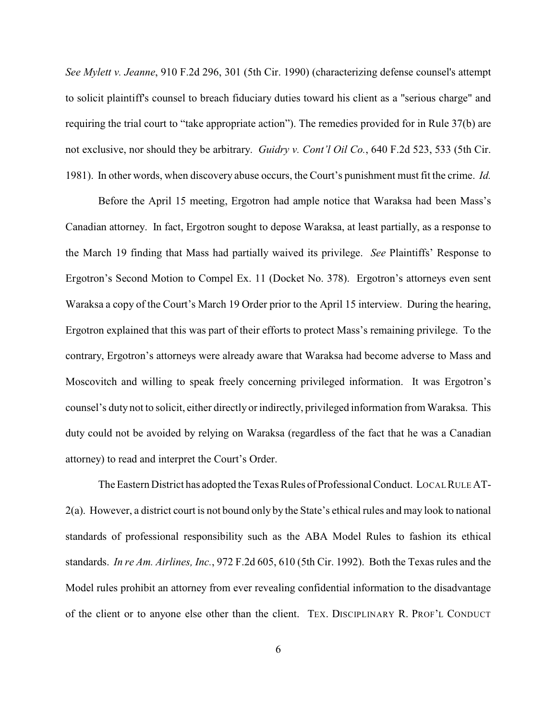*See Mylett v. Jeanne*, 910 F.2d 296, 301 (5th Cir. 1990) (characterizing defense counsel's attempt to solicit plaintiff's counsel to breach fiduciary duties toward his client as a "serious charge" and requiring the trial court to "take appropriate action"). The remedies provided for in Rule 37(b) are not exclusive, nor should they be arbitrary. *Guidry v. Cont'l Oil Co.*, 640 F.2d 523, 533 (5th Cir. 1981). In other words, when discovery abuse occurs, the Court's punishment must fit the crime. *Id.*

Before the April 15 meeting, Ergotron had ample notice that Waraksa had been Mass's Canadian attorney. In fact, Ergotron sought to depose Waraksa, at least partially, as a response to the March 19 finding that Mass had partially waived its privilege. *See* Plaintiffs' Response to Ergotron's Second Motion to Compel Ex. 11 (Docket No. 378). Ergotron's attorneys even sent Waraksa a copy of the Court's March 19 Order prior to the April 15 interview. During the hearing, Ergotron explained that this was part of their efforts to protect Mass's remaining privilege. To the contrary, Ergotron's attorneys were already aware that Waraksa had become adverse to Mass and Moscovitch and willing to speak freely concerning privileged information. It was Ergotron's counsel's duty not to solicit, either directly or indirectly, privileged information from Waraksa. This duty could not be avoided by relying on Waraksa (regardless of the fact that he was a Canadian attorney) to read and interpret the Court's Order.

The Eastern District has adopted the Texas Rules of Professional Conduct. LOCAL RULE AT-2(a). However, a district court is not bound only by the State's ethical rules and may look to national standards of professional responsibility such as the ABA Model Rules to fashion its ethical standards. *In re Am. Airlines, Inc.*, 972 F.2d 605, 610 (5th Cir. 1992). Both the Texas rules and the Model rules prohibit an attorney from ever revealing confidential information to the disadvantage of the client or to anyone else other than the client. TEX. DISCIPLINARY R. PROF'L CONDUCT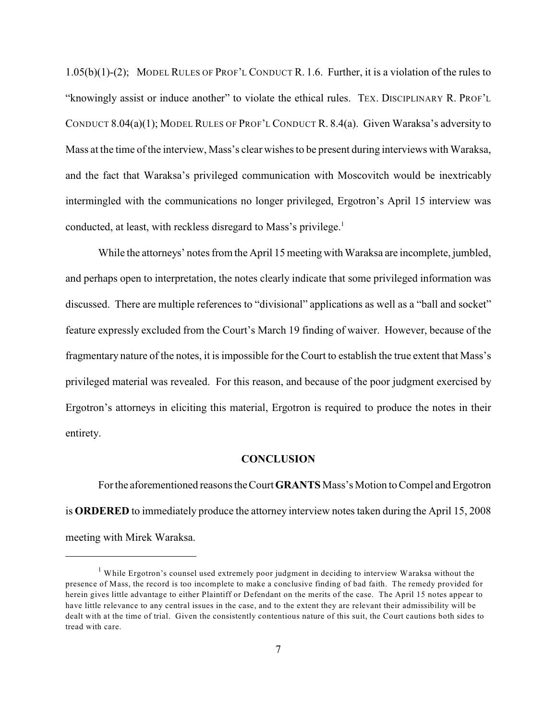1.05(b)(1)-(2); MODEL RULES OF PROF'L CONDUCT R. 1.6. Further, it is a violation of the rules to "knowingly assist or induce another" to violate the ethical rules. TEX. DISCIPLINARY R. PROF'L CONDUCT 8.04(a)(1); MODEL RULES OF PROF'L CONDUCT R. 8.4(a). Given Waraksa's adversity to Mass at the time of the interview, Mass's clear wishes to be present during interviews with Waraksa, and the fact that Waraksa's privileged communication with Moscovitch would be inextricably intermingled with the communications no longer privileged, Ergotron's April 15 interview was conducted, at least, with reckless disregard to Mass's privilege.<sup>1</sup>

While the attorneys' notes from the April 15 meeting with Waraksa are incomplete, jumbled, and perhaps open to interpretation, the notes clearly indicate that some privileged information was discussed. There are multiple references to "divisional" applications as well as a "ball and socket" feature expressly excluded from the Court's March 19 finding of waiver. However, because of the fragmentary nature of the notes, it is impossible for the Court to establish the true extent that Mass's privileged material was revealed. For this reason, and because of the poor judgment exercised by Ergotron's attorneys in eliciting this material, Ergotron is required to produce the notes in their entirety.

#### **CONCLUSION**

For the aforementioned reasons the Court**GRANTS** Mass's Motion to Compel and Ergotron is **ORDERED** to immediately produce the attorney interview notes taken during the April 15, 2008 meeting with Mirek Waraksa.

 $1$  While Ergotron's counsel used extremely poor judgment in deciding to interview Waraksa without the presence of Mass, the record is too incomplete to make a conclusive finding of bad faith. The remedy provided for herein gives little advantage to either Plaintiff or Defendant on the merits of the case. The April 15 notes appear to have little relevance to any central issues in the case, and to the extent they are relevant their admissibility will be dealt with at the time of trial. Given the consistently contentious nature of this suit, the Court cautions both sides to tread with care.